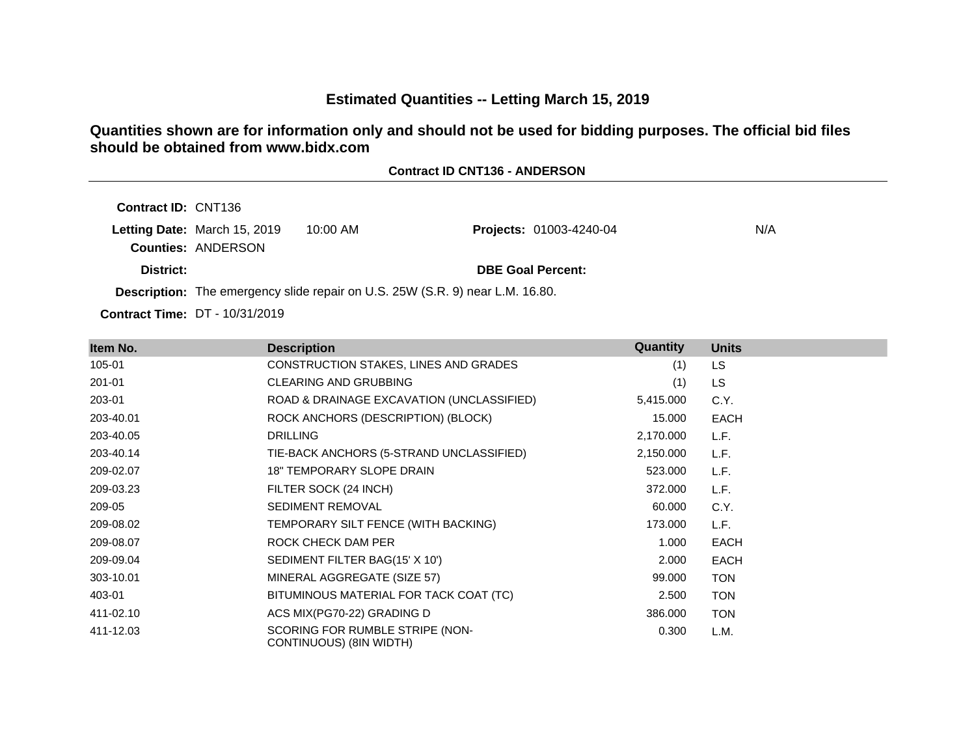# **Estimated Quantities -- Letting March 15, 2019**

**Contract ID CNT136 - ANDERSON**

**Quantities shown are for information only and should not be used for bidding purposes. The official bid files should be obtained from www.bidx.com**

| <b>Contract ID: CNT136</b> |                                                           |                                                                                      |                                |     |
|----------------------------|-----------------------------------------------------------|--------------------------------------------------------------------------------------|--------------------------------|-----|
|                            | Letting Date: March 15, 2019<br><b>Counties: ANDERSON</b> | 10:00 AM                                                                             | <b>Projects: 01003-4240-04</b> | N/A |
| District:                  |                                                           |                                                                                      | <b>DBE Goal Percent:</b>       |     |
|                            |                                                           | <b>Description:</b> The emergency slide repair on U.S. 25W (S.R. 9) near L.M. 16.80. |                                |     |

**Contract Time:** DT - 10/31/2019

| Item No.  | <b>Description</b>                                         | Quantity  | <b>Units</b> |
|-----------|------------------------------------------------------------|-----------|--------------|
| 105-01    | CONSTRUCTION STAKES, LINES AND GRADES                      | (1)       | LS           |
| 201-01    | <b>CLEARING AND GRUBBING</b>                               | (1)       | <b>LS</b>    |
| 203-01    | ROAD & DRAINAGE EXCAVATION (UNCLASSIFIED)                  | 5,415.000 | C.Y.         |
| 203-40.01 | ROCK ANCHORS (DESCRIPTION) (BLOCK)                         | 15.000    | <b>EACH</b>  |
| 203-40.05 | <b>DRILLING</b>                                            | 2,170.000 | L.F.         |
| 203-40.14 | TIE-BACK ANCHORS (5-STRAND UNCLASSIFIED)                   | 2,150.000 | L.F.         |
| 209-02.07 | <b>18" TEMPORARY SLOPE DRAIN</b>                           | 523.000   | L.F.         |
| 209-03.23 | FILTER SOCK (24 INCH)                                      | 372.000   | L.F.         |
| 209-05    | <b>SEDIMENT REMOVAL</b>                                    | 60.000    | C.Y.         |
| 209-08.02 | TEMPORARY SILT FENCE (WITH BACKING)                        | 173.000   | L.F.         |
| 209-08.07 | ROCK CHECK DAM PER                                         | 1.000     | <b>EACH</b>  |
| 209-09.04 | SEDIMENT FILTER BAG(15' X 10')                             | 2.000     | <b>EACH</b>  |
| 303-10.01 | MINERAL AGGREGATE (SIZE 57)                                | 99.000    | <b>TON</b>   |
| 403-01    | BITUMINOUS MATERIAL FOR TACK COAT (TC)                     | 2.500     | <b>TON</b>   |
| 411-02.10 | ACS MIX(PG70-22) GRADING D                                 | 386.000   | <b>TON</b>   |
| 411-12.03 | SCORING FOR RUMBLE STRIPE (NON-<br>CONTINUOUS) (8IN WIDTH) | 0.300     | L.M.         |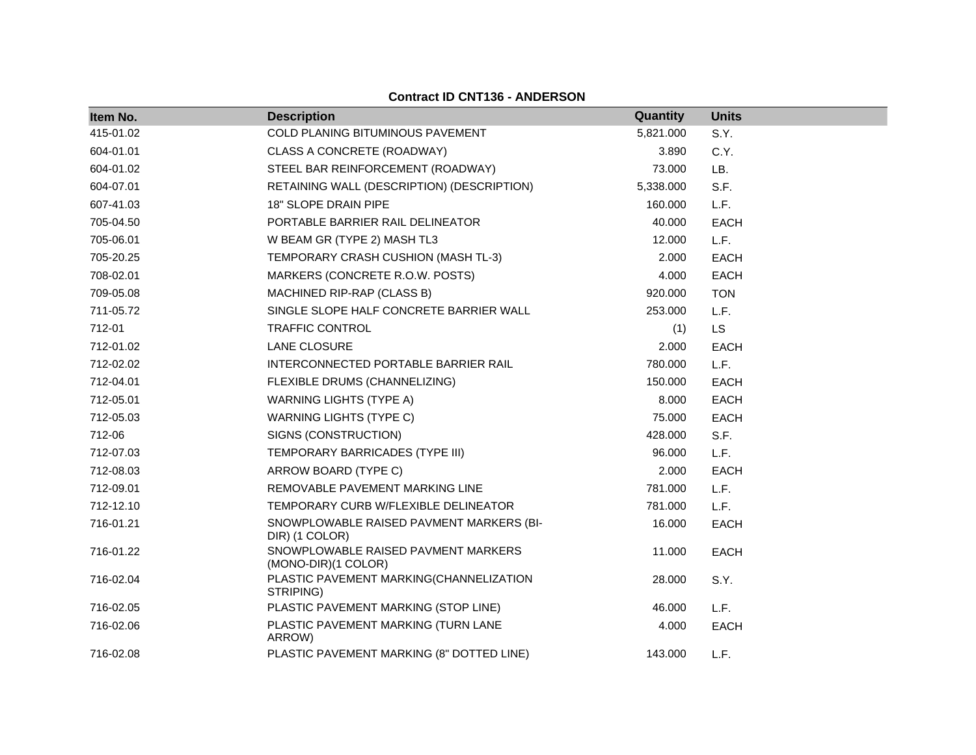#### **Contract ID CNT136 - ANDERSON**

| Item No.  | <b>Description</b>                                         | Quantity  | <b>Units</b> |
|-----------|------------------------------------------------------------|-----------|--------------|
| 415-01.02 | COLD PLANING BITUMINOUS PAVEMENT                           | 5,821.000 | S.Y.         |
| 604-01.01 | <b>CLASS A CONCRETE (ROADWAY)</b>                          | 3.890     | C.Y.         |
| 604-01.02 | STEEL BAR REINFORCEMENT (ROADWAY)                          | 73.000    | LB.          |
| 604-07.01 | RETAINING WALL (DESCRIPTION) (DESCRIPTION)                 | 5,338.000 | S.F.         |
| 607-41.03 | 18" SLOPE DRAIN PIPE                                       | 160.000   | L.F.         |
| 705-04.50 | PORTABLE BARRIER RAIL DELINEATOR                           | 40.000    | <b>EACH</b>  |
| 705-06.01 | W BEAM GR (TYPE 2) MASH TL3                                | 12.000    | L.F.         |
| 705-20.25 | TEMPORARY CRASH CUSHION (MASH TL-3)                        | 2.000     | <b>EACH</b>  |
| 708-02.01 | MARKERS (CONCRETE R.O.W. POSTS)                            | 4.000     | <b>EACH</b>  |
| 709-05.08 | MACHINED RIP-RAP (CLASS B)                                 | 920.000   | <b>TON</b>   |
| 711-05.72 | SINGLE SLOPE HALF CONCRETE BARRIER WALL                    | 253.000   | L.F.         |
| 712-01    | TRAFFIC CONTROL                                            | (1)       | LS           |
| 712-01.02 | LANE CLOSURE                                               | 2.000     | <b>EACH</b>  |
| 712-02.02 | INTERCONNECTED PORTABLE BARRIER RAIL                       | 780.000   | L.F.         |
| 712-04.01 | FLEXIBLE DRUMS (CHANNELIZING)                              | 150.000   | <b>EACH</b>  |
| 712-05.01 | <b>WARNING LIGHTS (TYPE A)</b>                             | 8.000     | <b>EACH</b>  |
| 712-05.03 | <b>WARNING LIGHTS (TYPE C)</b>                             | 75.000    | <b>EACH</b>  |
| 712-06    | SIGNS (CONSTRUCTION)                                       | 428.000   | S.F.         |
| 712-07.03 | TEMPORARY BARRICADES (TYPE III)                            | 96.000    | L.F.         |
| 712-08.03 | ARROW BOARD (TYPE C)                                       | 2.000     | <b>EACH</b>  |
| 712-09.01 | REMOVABLE PAVEMENT MARKING LINE                            | 781.000   | L.F.         |
| 712-12.10 | TEMPORARY CURB W/FLEXIBLE DELINEATOR                       | 781.000   | L.F.         |
| 716-01.21 | SNOWPLOWABLE RAISED PAVMENT MARKERS (BI-<br>DIR) (1 COLOR) | 16.000    | <b>EACH</b>  |
| 716-01.22 | SNOWPLOWABLE RAISED PAVMENT MARKERS<br>(MONO-DIR)(1 COLOR) | 11.000    | <b>EACH</b>  |
| 716-02.04 | PLASTIC PAVEMENT MARKING(CHANNELIZATION<br>STRIPING)       | 28.000    | S.Y.         |
| 716-02.05 | PLASTIC PAVEMENT MARKING (STOP LINE)                       | 46.000    | L.F.         |
| 716-02.06 | PLASTIC PAVEMENT MARKING (TURN LANE<br>ARROW)              | 4.000     | <b>EACH</b>  |
| 716-02.08 | PLASTIC PAVEMENT MARKING (8" DOTTED LINE)                  | 143.000   | L.F.         |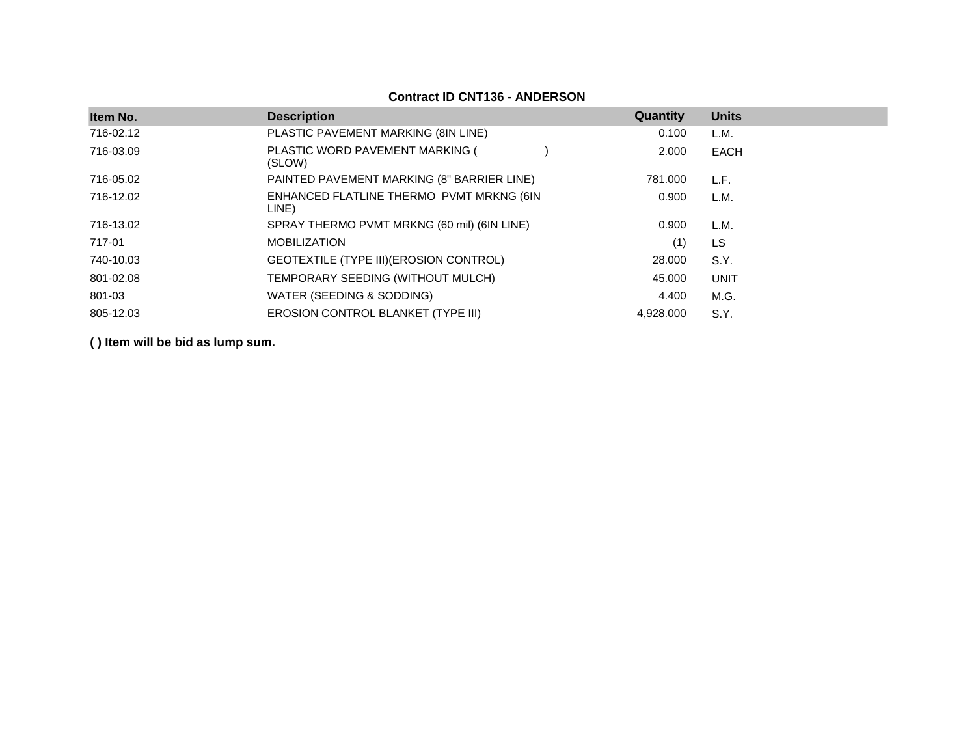| Item No.  | <b>Description</b>                                | Quantity  | <b>Units</b> |
|-----------|---------------------------------------------------|-----------|--------------|
| 716-02.12 | PLASTIC PAVEMENT MARKING (8IN LINE)               | 0.100     | L.M.         |
| 716-03.09 | PLASTIC WORD PAVEMENT MARKING (<br>(SLOW)         | 2.000     | EACH         |
| 716-05.02 | PAINTED PAVEMENT MARKING (8" BARRIER LINE)        | 781.000   | L.F.         |
| 716-12.02 | ENHANCED FLATLINE THERMO PVMT MRKNG (6IN<br>LINE) | 0.900     | L.M.         |
| 716-13.02 | SPRAY THERMO PVMT MRKNG (60 mil) (6IN LINE)       | 0.900     | L.M.         |
| 717-01    | <b>MOBILIZATION</b>                               | (1)       | LS           |
| 740-10.03 | GEOTEXTILE (TYPE III) (EROSION CONTROL)           | 28.000    | S.Y.         |
| 801-02.08 | TEMPORARY SEEDING (WITHOUT MULCH)                 | 45.000    | <b>UNIT</b>  |
| 801-03    | WATER (SEEDING & SODDING)                         | 4.400     | M.G.         |
| 805-12.03 | <b>EROSION CONTROL BLANKET (TYPE III)</b>         | 4,928.000 | S.Y.         |

#### **Contract ID CNT136 - ANDERSON**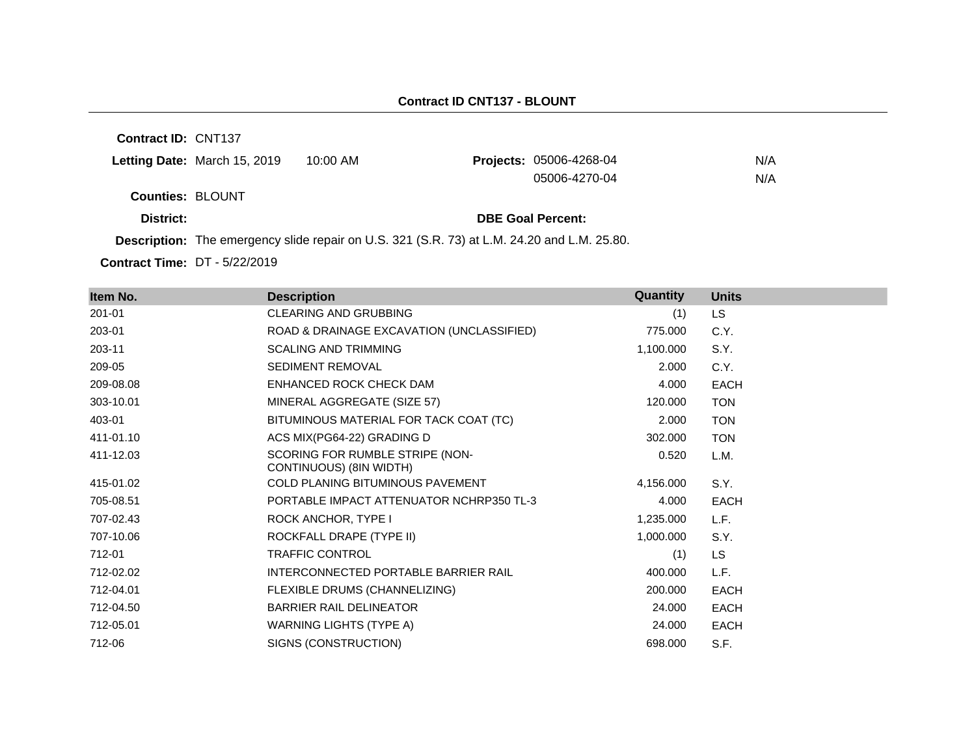#### **Contract ID CNT137 - BLOUNT**

**Contract ID:** CNT137

| Letting Date: March 15, 2019 | 10:00 AM | <b>Projects: 05006-4268-04</b> | N/A |
|------------------------------|----------|--------------------------------|-----|
|                              |          | 05006-4270-04                  | N/A |
| <b>Counties: BLOUNT</b>      |          |                                |     |

**District: District: DBE Goal Percent:** 

**Description:** The emergency slide repair on U.S. 321 (S.R. 73) at L.M. 24.20 and L.M. 25.80.

**Contract Time:** DT - 5/22/2019

| Item No.  | <b>Description</b>                                         | Quantity  | <b>Units</b> |
|-----------|------------------------------------------------------------|-----------|--------------|
| 201-01    | CLEARING AND GRUBBING                                      | (1)       | <b>LS</b>    |
| 203-01    | ROAD & DRAINAGE EXCAVATION (UNCLASSIFIED)                  | 775.000   | C.Y.         |
| 203-11    | <b>SCALING AND TRIMMING</b>                                | 1,100.000 | S.Y.         |
| 209-05    | <b>SEDIMENT REMOVAL</b>                                    | 2.000     | C.Y.         |
| 209-08.08 | ENHANCED ROCK CHECK DAM                                    | 4.000     | <b>EACH</b>  |
| 303-10.01 | MINERAL AGGREGATE (SIZE 57)                                | 120.000   | <b>TON</b>   |
| 403-01    | BITUMINOUS MATERIAL FOR TACK COAT (TC)                     | 2.000     | <b>TON</b>   |
| 411-01.10 | ACS MIX(PG64-22) GRADING D                                 | 302.000   | <b>TON</b>   |
| 411-12.03 | SCORING FOR RUMBLE STRIPE (NON-<br>CONTINUOUS) (8IN WIDTH) | 0.520     | L.M.         |
| 415-01.02 | <b>COLD PLANING BITUMINOUS PAVEMENT</b>                    | 4,156.000 | S.Y.         |
| 705-08.51 | PORTABLE IMPACT ATTENUATOR NCHRP350 TL-3                   | 4.000     | <b>EACH</b>  |
| 707-02.43 | ROCK ANCHOR, TYPE I                                        | 1,235.000 | L.F.         |
| 707-10.06 | ROCKFALL DRAPE (TYPE II)                                   | 1,000.000 | S.Y.         |
| 712-01    | <b>TRAFFIC CONTROL</b>                                     | (1)       | <b>LS</b>    |
| 712-02.02 | INTERCONNECTED PORTABLE BARRIER RAIL                       | 400.000   | L.F.         |
| 712-04.01 | FLEXIBLE DRUMS (CHANNELIZING)                              | 200,000   | <b>EACH</b>  |
| 712-04.50 | <b>BARRIER RAIL DELINEATOR</b>                             | 24.000    | <b>EACH</b>  |
| 712-05.01 | <b>WARNING LIGHTS (TYPE A)</b>                             | 24.000    | EACH         |
| 712-06    | SIGNS (CONSTRUCTION)                                       | 698.000   | S.F.         |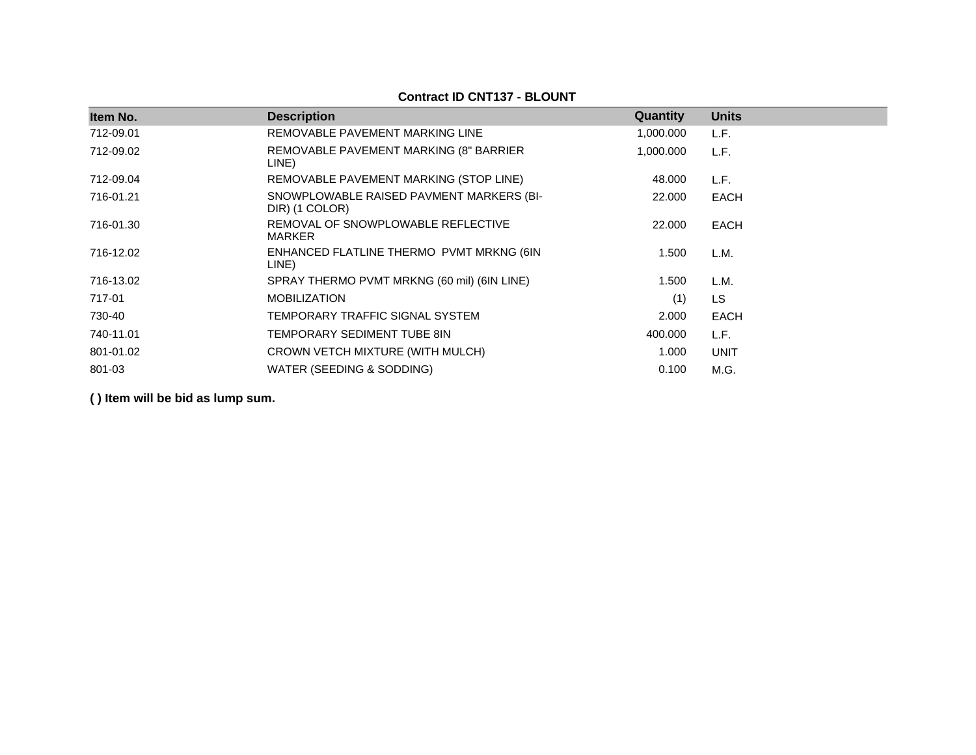| Item No.  | <b>Description</b>                                         | Quantity  | <b>Units</b> |
|-----------|------------------------------------------------------------|-----------|--------------|
| 712-09.01 | REMOVABLE PAVEMENT MARKING LINE                            | 1,000.000 | L.F.         |
| 712-09.02 | REMOVABLE PAVEMENT MARKING (8" BARRIER<br>LINE)            | 1,000.000 | L.F.         |
| 712-09.04 | REMOVABLE PAVEMENT MARKING (STOP LINE)                     | 48.000    | L.F.         |
| 716-01.21 | SNOWPLOWABLE RAISED PAVMENT MARKERS (BI-<br>DIR) (1 COLOR) | 22.000    | EACH         |
| 716-01.30 | REMOVAL OF SNOWPLOWABLE REFLECTIVE<br>MARKER               | 22.000    | EACH         |
| 716-12.02 | ENHANCED FLATLINE THERMO PVMT MRKNG (6IN<br>LINE)          | 1.500     | L.M.         |
| 716-13.02 | SPRAY THERMO PVMT MRKNG (60 mil) (6IN LINE)                | 1.500     | L.M.         |
| 717-01    | <b>MOBILIZATION</b>                                        | (1)       | <b>LS</b>    |
| 730-40    | TEMPORARY TRAFFIC SIGNAL SYSTEM                            | 2.000     | EACH         |
| 740-11.01 | TEMPORARY SEDIMENT TUBE 8IN                                | 400.000   | L.F.         |
| 801-01.02 | CROWN VETCH MIXTURE (WITH MULCH)                           | 1.000     | <b>UNIT</b>  |
| 801-03    | WATER (SEEDING & SODDING)                                  | 0.100     | M.G.         |

#### **Contract ID CNT137 - BLOUNT**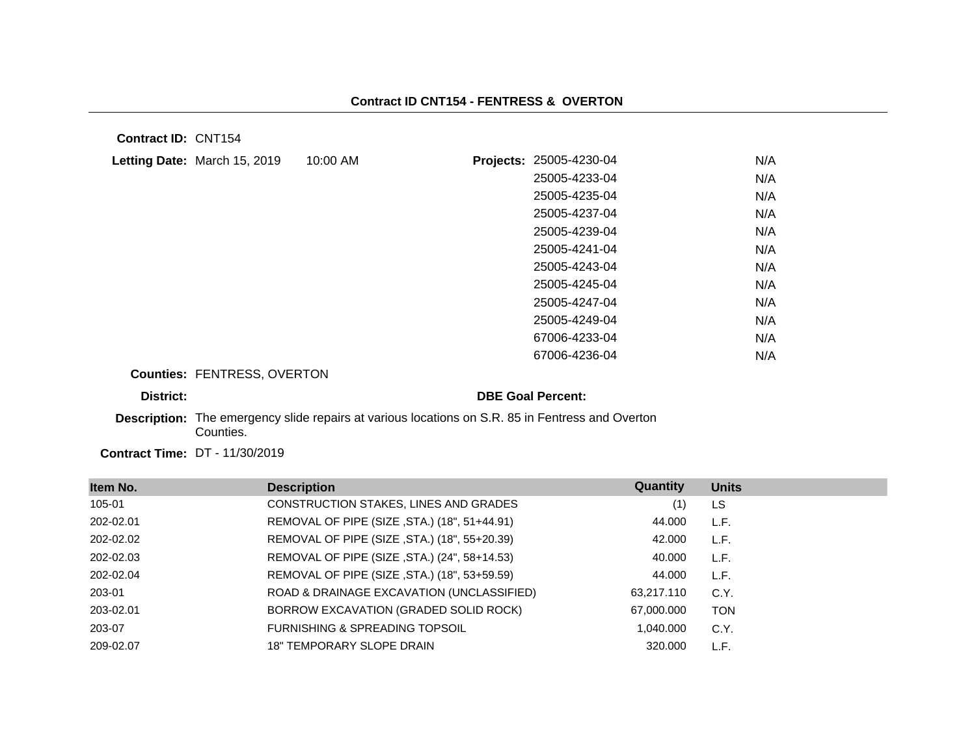**Contract ID:** CNT154

| Letting Date: March 15, 2019                                                                     | 10:00 AM |                          | Projects: 25005-4230-04 | N/A |
|--------------------------------------------------------------------------------------------------|----------|--------------------------|-------------------------|-----|
|                                                                                                  |          |                          | 25005-4233-04           | N/A |
|                                                                                                  |          |                          | 25005-4235-04           | N/A |
|                                                                                                  |          |                          | 25005-4237-04           | N/A |
|                                                                                                  |          |                          | 25005-4239-04           | N/A |
|                                                                                                  |          |                          | 25005-4241-04           | N/A |
|                                                                                                  |          |                          | 25005-4243-04           | N/A |
|                                                                                                  |          |                          | 25005-4245-04           | N/A |
|                                                                                                  |          |                          | 25005-4247-04           | N/A |
|                                                                                                  |          |                          | 25005-4249-04           | N/A |
|                                                                                                  |          |                          | 67006-4233-04           | N/A |
|                                                                                                  |          |                          | 67006-4236-04           | N/A |
| <b>Counties: FENTRESS, OVERTON</b>                                                               |          |                          |                         |     |
| District:                                                                                        |          | <b>DBE Goal Percent:</b> |                         |     |
| Description: The emergency slide repairs at various locations on S.R. 85 in Fentress and Overton |          |                          |                         |     |

Counties.

**Contract Time:** DT - 11/30/2019

| Item No.  | <b>Description</b>                           | Quantity   | <b>Units</b> |
|-----------|----------------------------------------------|------------|--------------|
| 105-01    | CONSTRUCTION STAKES, LINES AND GRADES        | (1)        | LS           |
| 202-02.01 | REMOVAL OF PIPE (SIZE, STA.) (18", 51+44.91) | 44.000     | L.F.         |
| 202-02.02 | REMOVAL OF PIPE (SIZE, STA.) (18", 55+20.39) | 42.000     | L.F.         |
| 202-02.03 | REMOVAL OF PIPE (SIZE, STA.) (24", 58+14.53) | 40.000     | L.F.         |
| 202-02.04 | REMOVAL OF PIPE (SIZE, STA.) (18", 53+59.59) | 44.000     | L.F.         |
| 203-01    | ROAD & DRAINAGE EXCAVATION (UNCLASSIFIED)    | 63,217.110 | C.Y.         |
| 203-02.01 | BORROW EXCAVATION (GRADED SOLID ROCK)        | 67,000.000 | <b>TON</b>   |
| 203-07    | FURNISHING & SPREADING TOPSOIL               | 1,040.000  | C.Y.         |
| 209-02.07 | <b>18" TEMPORARY SLOPE DRAIN</b>             | 320,000    | L.F.         |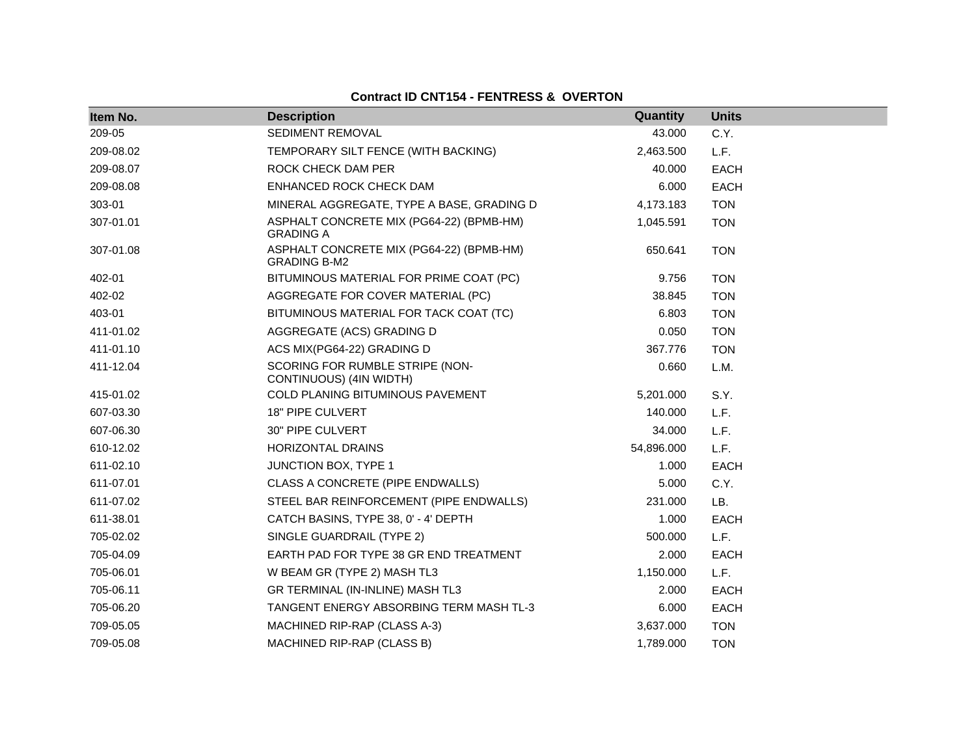## **Contract ID CNT154 - FENTRESS & OVERTON**

| Item No.  | <b>Description</b>                                              | Quantity   | <b>Units</b> |
|-----------|-----------------------------------------------------------------|------------|--------------|
| 209-05    | <b>SEDIMENT REMOVAL</b>                                         | 43.000     | C.Y.         |
| 209-08.02 | TEMPORARY SILT FENCE (WITH BACKING)                             | 2,463.500  | L.F.         |
| 209-08.07 | ROCK CHECK DAM PER                                              | 40.000     | <b>EACH</b>  |
| 209-08.08 | ENHANCED ROCK CHECK DAM                                         | 6.000      | <b>EACH</b>  |
| 303-01    | MINERAL AGGREGATE, TYPE A BASE, GRADING D                       | 4,173.183  | <b>TON</b>   |
| 307-01.01 | ASPHALT CONCRETE MIX (PG64-22) (BPMB-HM)<br><b>GRADING A</b>    | 1,045.591  | <b>TON</b>   |
| 307-01.08 | ASPHALT CONCRETE MIX (PG64-22) (BPMB-HM)<br><b>GRADING B-M2</b> | 650.641    | <b>TON</b>   |
| 402-01    | BITUMINOUS MATERIAL FOR PRIME COAT (PC)                         | 9.756      | <b>TON</b>   |
| 402-02    | AGGREGATE FOR COVER MATERIAL (PC)                               | 38.845     | <b>TON</b>   |
| 403-01    | BITUMINOUS MATERIAL FOR TACK COAT (TC)                          | 6.803      | <b>TON</b>   |
| 411-01.02 | AGGREGATE (ACS) GRADING D                                       | 0.050      | <b>TON</b>   |
| 411-01.10 | ACS MIX(PG64-22) GRADING D                                      | 367.776    | <b>TON</b>   |
| 411-12.04 | SCORING FOR RUMBLE STRIPE (NON-<br>CONTINUOUS) (4IN WIDTH)      | 0.660      | L.M.         |
| 415-01.02 | COLD PLANING BITUMINOUS PAVEMENT                                | 5,201.000  | S.Y.         |
| 607-03.30 | 18" PIPE CULVERT                                                | 140.000    | L.F.         |
| 607-06.30 | 30" PIPE CULVERT                                                | 34.000     | L.F.         |
| 610-12.02 | HORIZONTAL DRAINS                                               | 54,896.000 | L.F.         |
| 611-02.10 | JUNCTION BOX, TYPE 1                                            | 1.000      | <b>EACH</b>  |
| 611-07.01 | CLASS A CONCRETE (PIPE ENDWALLS)                                | 5.000      | C.Y.         |
| 611-07.02 | STEEL BAR REINFORCEMENT (PIPE ENDWALLS)                         | 231.000    | LB.          |
| 611-38.01 | CATCH BASINS, TYPE 38, 0' - 4' DEPTH                            | 1.000      | <b>EACH</b>  |
| 705-02.02 | SINGLE GUARDRAIL (TYPE 2)                                       | 500.000    | L.F.         |
| 705-04.09 | EARTH PAD FOR TYPE 38 GR END TREATMENT                          | 2.000      | <b>EACH</b>  |
| 705-06.01 | W BEAM GR (TYPE 2) MASH TL3                                     | 1,150.000  | L.F.         |
| 705-06.11 | GR TERMINAL (IN-INLINE) MASH TL3                                | 2.000      | <b>EACH</b>  |
| 705-06.20 | TANGENT ENERGY ABSORBING TERM MASH TL-3                         | 6.000      | <b>EACH</b>  |
| 709-05.05 | MACHINED RIP-RAP (CLASS A-3)                                    | 3,637.000  | <b>TON</b>   |
| 709-05.08 | MACHINED RIP-RAP (CLASS B)                                      | 1,789.000  | <b>TON</b>   |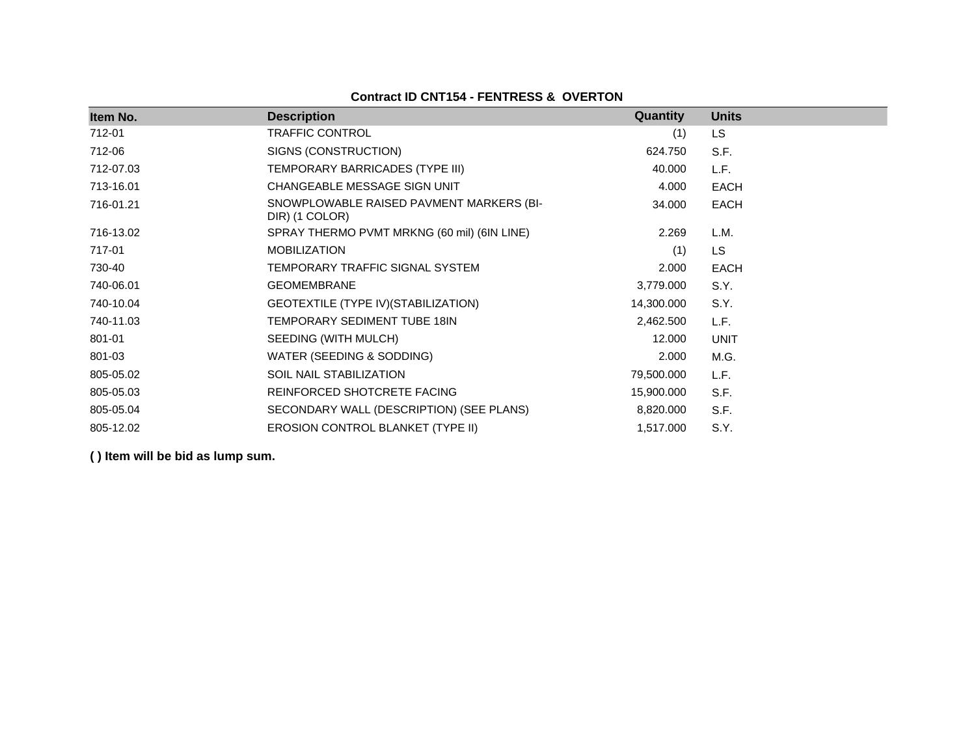## **Contract ID CNT154 - FENTRESS & OVERTON**

| Item No.  | <b>Description</b>                                         | <b>Quantity</b> | <b>Units</b> |
|-----------|------------------------------------------------------------|-----------------|--------------|
| 712-01    | TRAFFIC CONTROL                                            | (1)             | <b>LS</b>    |
| 712-06    | SIGNS (CONSTRUCTION)                                       | 624.750         | S.F.         |
| 712-07.03 | TEMPORARY BARRICADES (TYPE III)                            | 40.000          | L.F.         |
| 713-16.01 | CHANGEABLE MESSAGE SIGN UNIT                               | 4.000           | <b>EACH</b>  |
| 716-01.21 | SNOWPLOWABLE RAISED PAVMENT MARKERS (BI-<br>DIR) (1 COLOR) | 34.000          | <b>EACH</b>  |
| 716-13.02 | SPRAY THERMO PVMT MRKNG (60 mil) (6IN LINE)                | 2.269           | L.M.         |
| 717-01    | <b>MOBILIZATION</b>                                        | (1)             | LS           |
| 730-40    | TEMPORARY TRAFFIC SIGNAL SYSTEM                            | 2.000           | <b>EACH</b>  |
| 740-06.01 | <b>GEOMEMBRANE</b>                                         | 3,779.000       | S.Y.         |
| 740-10.04 | GEOTEXTILE (TYPE IV) (STABILIZATION)                       | 14,300.000      | S.Y.         |
| 740-11.03 | TEMPORARY SEDIMENT TUBE 18IN                               | 2,462.500       | L.F.         |
| 801-01    | SEEDING (WITH MULCH)                                       | 12.000          | <b>UNIT</b>  |
| 801-03    | WATER (SEEDING & SODDING)                                  | 2.000           | M.G.         |
| 805-05.02 | <b>SOIL NAIL STABILIZATION</b>                             | 79,500.000      | L.F.         |
| 805-05.03 | REINFORCED SHOTCRETE FACING                                | 15,900.000      | S.F.         |
| 805-05.04 | SECONDARY WALL (DESCRIPTION) (SEE PLANS)                   | 8,820.000       | S.F.         |
| 805-12.02 | EROSION CONTROL BLANKET (TYPE II)                          | 1,517.000       | S.Y.         |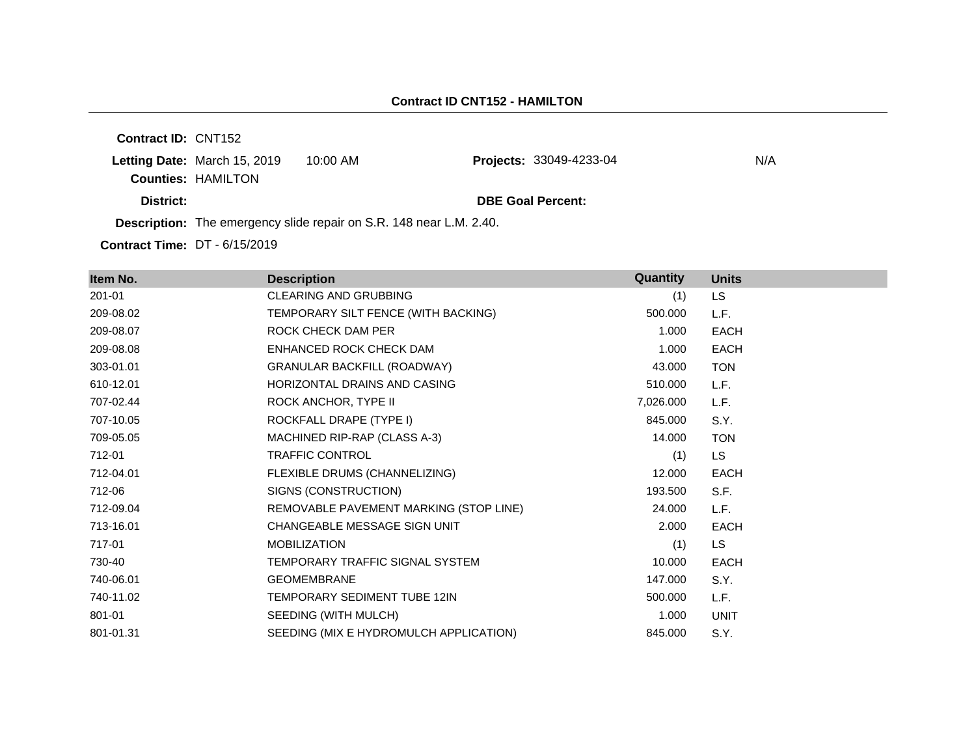**Contract ID:** CNT152 **Letting Date: March 15, 2019 10:00 AM Counties:** HAMILTON **District: DBE Goal Percent: Description:** The emergency slide repair on S.R. 148 near L.M. 2.40. **Projects: 33049-4233-04** N/A

**Contract Time:** DT - 6/15/2019

| Item No.  | <b>Description</b>                     | <b>Quantity</b> | <b>Units</b> |
|-----------|----------------------------------------|-----------------|--------------|
| 201-01    | <b>CLEARING AND GRUBBING</b>           | (1)             | <b>LS</b>    |
| 209-08.02 | TEMPORARY SILT FENCE (WITH BACKING)    | 500.000         | L.F.         |
| 209-08.07 | ROCK CHECK DAM PER                     | 1.000           | <b>EACH</b>  |
| 209-08.08 | ENHANCED ROCK CHECK DAM                | 1.000           | <b>EACH</b>  |
| 303-01.01 | <b>GRANULAR BACKFILL (ROADWAY)</b>     | 43.000          | <b>TON</b>   |
| 610-12.01 | HORIZONTAL DRAINS AND CASING           | 510.000         | L.F.         |
| 707-02.44 | ROCK ANCHOR, TYPE II                   | 7,026.000       | L.F.         |
| 707-10.05 | ROCKFALL DRAPE (TYPE I)                | 845.000         | S.Y.         |
| 709-05.05 | MACHINED RIP-RAP (CLASS A-3)           | 14.000          | <b>TON</b>   |
| 712-01    | <b>TRAFFIC CONTROL</b>                 | (1)             | LS.          |
| 712-04.01 | FLEXIBLE DRUMS (CHANNELIZING)          | 12.000          | <b>EACH</b>  |
| 712-06    | SIGNS (CONSTRUCTION)                   | 193.500         | S.F.         |
| 712-09.04 | REMOVABLE PAVEMENT MARKING (STOP LINE) | 24.000          | L.F.         |
| 713-16.01 | CHANGEABLE MESSAGE SIGN UNIT           | 2.000           | <b>EACH</b>  |
| 717-01    | <b>MOBILIZATION</b>                    | (1)             | LS.          |
| 730-40    | TEMPORARY TRAFFIC SIGNAL SYSTEM        | 10.000          | <b>EACH</b>  |
| 740-06.01 | <b>GEOMEMBRANE</b>                     | 147.000         | S.Y.         |
| 740-11.02 | TEMPORARY SEDIMENT TUBE 12IN           | 500.000         | L.F.         |
| 801-01    | SEEDING (WITH MULCH)                   | 1.000           | <b>UNIT</b>  |
| 801-01.31 | SEEDING (MIX E HYDROMULCH APPLICATION) | 845.000         | S.Y.         |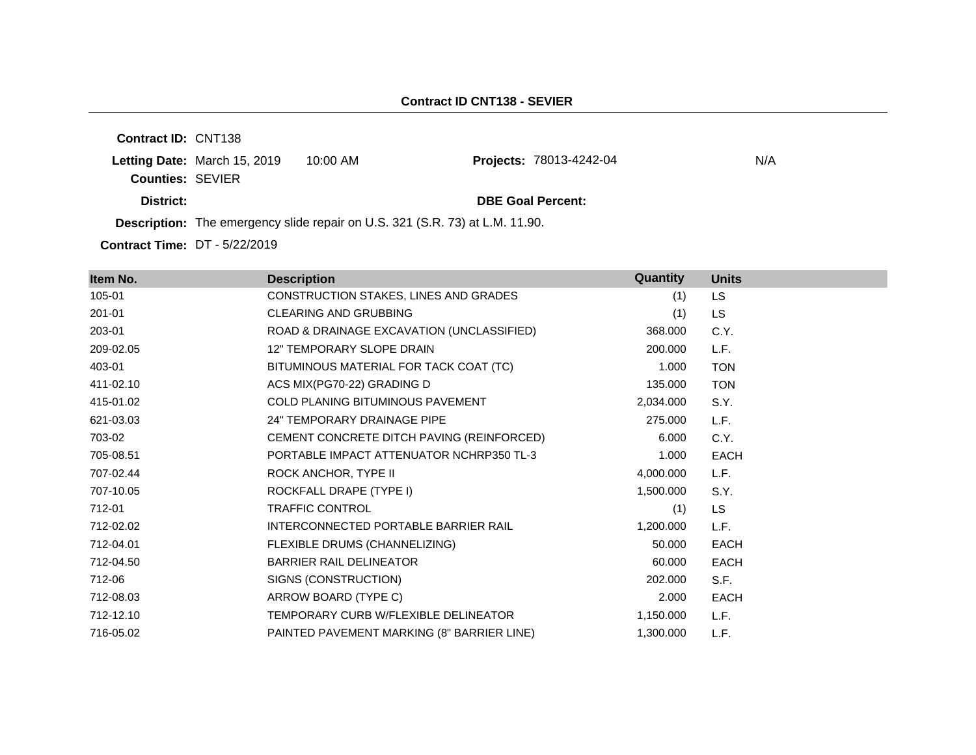**Contract ID:** CNT138 **Letting Date: March 15, 2019 10:00 AM Counties:** SEVIER **District: DBE Goal Percent: Description:** The emergency slide repair on U.S. 321 (S.R. 73) at L.M. 11.90. Projects: 78013-4242-04 N/A

**Contract Time:** DT - 5/22/2019

| Item No.  | <b>Description</b>                         | Quantity  | <b>Units</b> |
|-----------|--------------------------------------------|-----------|--------------|
| 105-01    | CONSTRUCTION STAKES, LINES AND GRADES      | (1)       | <b>LS</b>    |
| 201-01    | <b>CLEARING AND GRUBBING</b>               | (1)       | <b>LS</b>    |
| 203-01    | ROAD & DRAINAGE EXCAVATION (UNCLASSIFIED)  | 368.000   | C.Y.         |
| 209-02.05 | 12" TEMPORARY SLOPE DRAIN                  | 200,000   | L.F.         |
| 403-01    | BITUMINOUS MATERIAL FOR TACK COAT (TC)     | 1.000     | <b>TON</b>   |
| 411-02.10 | ACS MIX(PG70-22) GRADING D                 | 135.000   | <b>TON</b>   |
| 415-01.02 | COLD PLANING BITUMINOUS PAVEMENT           | 2,034.000 | S.Y.         |
| 621-03.03 | 24" TEMPORARY DRAINAGE PIPE                | 275.000   | L.F.         |
| 703-02    | CEMENT CONCRETE DITCH PAVING (REINFORCED)  | 6.000     | C.Y.         |
| 705-08.51 | PORTABLE IMPACT ATTENUATOR NCHRP350 TL-3   | 1.000     | <b>EACH</b>  |
| 707-02.44 | ROCK ANCHOR, TYPE II                       | 4,000.000 | L.F.         |
| 707-10.05 | ROCKFALL DRAPE (TYPE I)                    | 1,500.000 | S.Y.         |
| 712-01    | TRAFFIC CONTROL                            | (1)       | <b>LS</b>    |
| 712-02.02 | INTERCONNECTED PORTABLE BARRIER RAIL       | 1,200.000 | L.F.         |
| 712-04.01 | FLEXIBLE DRUMS (CHANNELIZING)              | 50.000    | <b>EACH</b>  |
| 712-04.50 | <b>BARRIER RAIL DELINEATOR</b>             | 60.000    | <b>EACH</b>  |
| 712-06    | SIGNS (CONSTRUCTION)                       | 202.000   | S.F.         |
| 712-08.03 | ARROW BOARD (TYPE C)                       | 2.000     | <b>EACH</b>  |
| 712-12.10 | TEMPORARY CURB W/FLEXIBLE DELINEATOR       | 1,150.000 | L.F.         |
| 716-05.02 | PAINTED PAVEMENT MARKING (8" BARRIER LINE) | 1,300.000 | L.F.         |